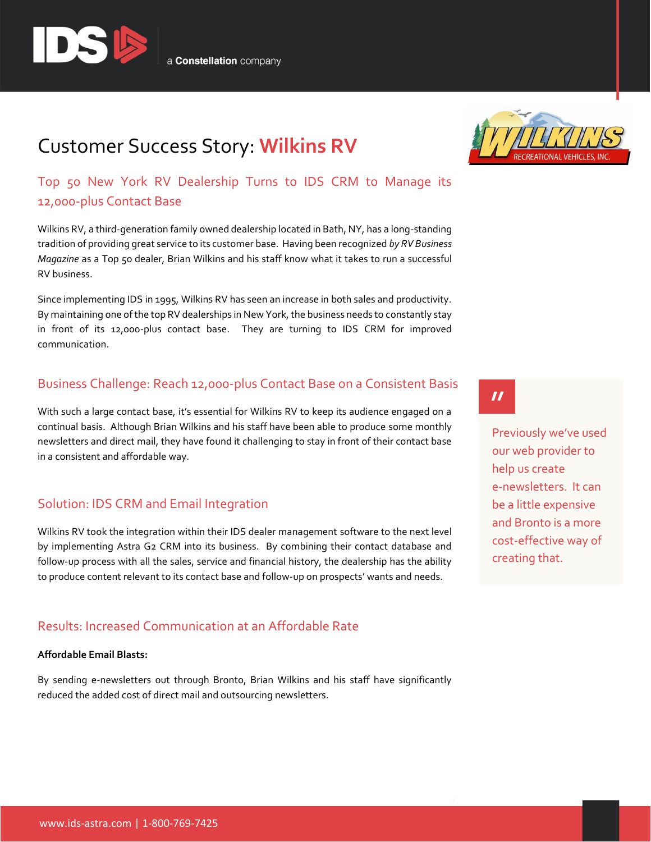

# Customer Success Story: **Wilkins RV**

Top 50 New York RV Dealership Turns to IDS CRM to Manage its 12,000-plus Contact Base

Wilkins RV, a third-generation family owned dealership located in Bath, NY, has a long-standing tradition of providing great service to its customer base. Having been recognized *by RV Business Magazine* as a Top 50 dealer, Brian Wilkins and his staff know what it takes to run a successful RV business.

Since implementing IDS in 1995, Wilkins RV has seen an increase in both sales and productivity. By maintaining one of the top RV dealerships in New York, the business needs to constantly stay in front of its 12,000-plus contact base. They are turning to IDS CRM for improved communication.

### Business Challenge: Reach 12,000-plus Contact Base on a Consistent Basis

With such a large contact base, it's essential for Wilkins RV to keep its audience engaged on a continual basis. Although Brian Wilkins and his staff have been able to produce some monthly newsletters and direct mail, they have found it challenging to stay in front of their contact base in a consistent and affordable way.

### Solution: IDS CRM and Email Integration

Wilkins RV took the integration within their IDS dealer management software to the next level by implementing Astra G2 CRM into its business. By combining their contact database and follow-up process with all the sales, service and financial history, the dealership has the ability to produce content relevant to its contact base and follow-up on prospects' wants and needs.

### Results: Increased Communication at an Affordable Rate

#### **Affordable Email Blasts:**

By sending e-newsletters out through Bronto, Brian Wilkins and his staff have significantly reduced the added cost of direct mail and outsourcing newsletters.



# $\boldsymbol{\prime\prime}$

Previously we've used our web provider to help us create e-newsletters. It can be a little expensive and Bronto is a more cost-effective way of creating that.